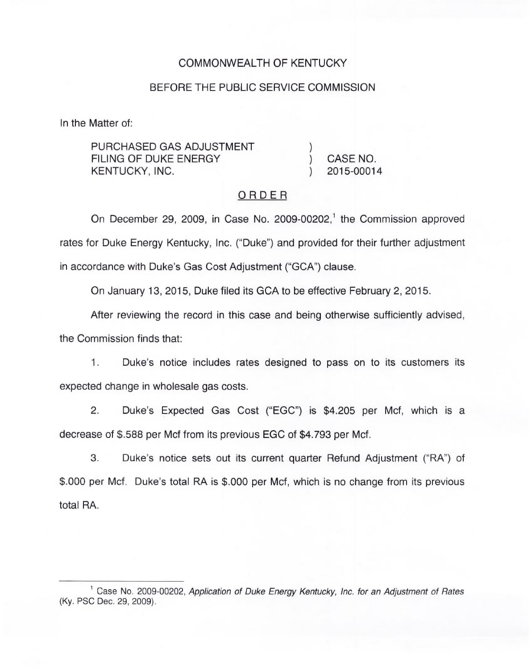### COMMONWEALTH OF KENTUCKY

#### BEFORE THE PUBLIC SERVICE COMMISSION

In the Matter of:

PURCHASED GAS ADJUSTMENT FILING OF DUKE ENERGY KENTUCKY, INC.

) CASE NO. ) 2015-00014

)

### ORDER

On December 29, 2009, in Case No. 2009-00202,<sup>1</sup> the Commission approved rates for Duke Energy Kentucky, Inc. ("Duke") and provided for their further adjustment in accordance with Duke's Gas Cost Adjustment ("GCA") clause.

On January 13, 2015, Duke filed its GCA to be effective February 2, 2015.

After reviewing the record in this case and being otherwise sufficiently advised,

the Commission finds that:

1. Duke's notice includes rates designed to pass on to its customers its expected change in wholesale gas costs.

2. Duke's Expected Gas Cost ("EGC") is \$4.205 per Mcf, which is a decrease of \$.588 per Mcf from its previous EGC of \$4.793 per Mcf.

3. Duke's notice sets out its current quarter Refund Adjustment ("RA") of \$.000 per Mcf. Duke's total RA is \$.000 per Mcf, which is no change from its previous total RA.

 $1$  Case No. 2009-00202, Application of Duke Energy Kentucky, Inc. for an Adjustment of Rates (Ky. PSC Dec. 29, 2009).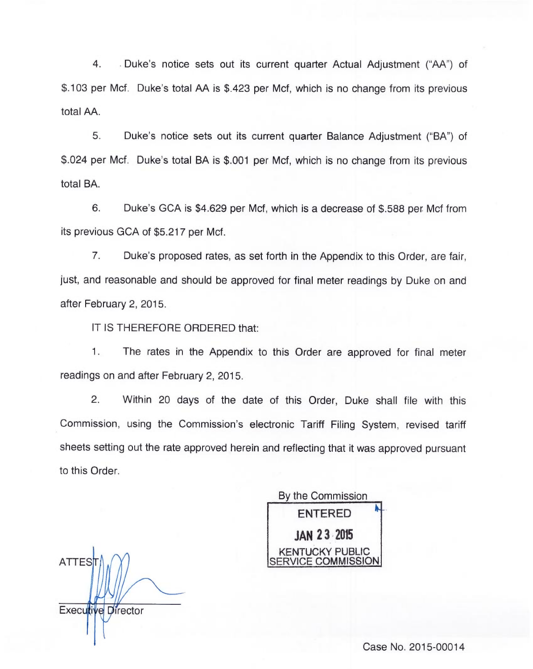4..Duke's notice sets out its current quarter Actual Adjustment ("AA") of \$.103 per Mcf. Duke's total AA is \$.423 per Mcf, which is no change from its previous total AA.

5. Duke's notice sets out its current quarter Balance Adjustment ("BA") of \$.024 per Mcf. Duke's total BA is \$.001 per Mcf, which is no change from its previous total BA.

6. Duke's GCA is \$4.629 per Mcf, which is a decrease of \$.588 per. Mcf from its previous GCA of \$5.217 per Mcf.

7. Duke's proposed rates, as set forth in the Appendix to this Order, are fair, just, and reasonable and should be approved for final meter readings by Duke on and after February 2, 2015.

IT IS THEREFORE ORDERED that:

1. The rates in the Appendix to this Order are approved for final meter readings on and after February 2, 2015.

2. Within 20 days of the date of this Order, Duke shall file with this Commission, using the Commission's electronic Tariff Filing System, revised tariff sheets setting out the rate approved herein and reflecting that it was approved pursuant to this Order.

By the Commission ENTERED JAN 23 2015 KENTUCKY PUBLIC **ICE COMMISSION** 

**ATTES** Executive Director

Case No. 2015-00014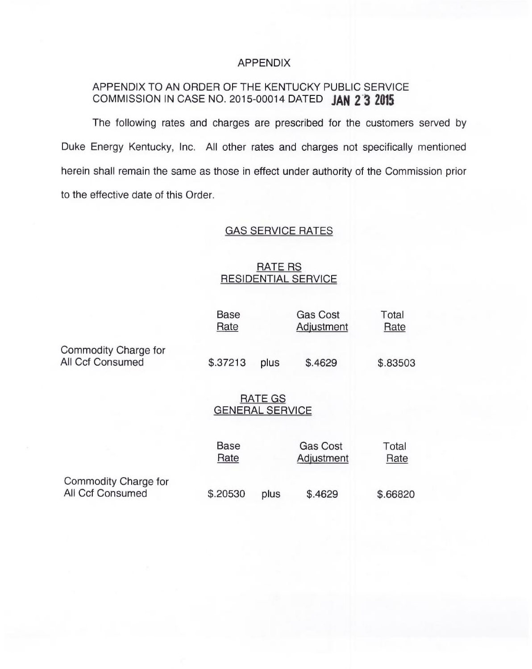#### APPENDIX

## APPENDIX TO AN ORDER OF THE KENTUCKY PUBLIC SERVICE COMMISSION IN CASE NO. 2015-00014 DATED JAN 2 3 2015

The following rates and charges are prescribed for the customers served by Duke Energy Kentucky, Inc. All other rates and charges not specifically mentioned herein shall remain the same as those in effect under authority of the Commission prior to the effective date of this Order.

# GAS SERVICE RATES

### RATE RS RESIDENTIAL SERVICE

|                                          | <b>Base</b><br>Rate                      |      | <b>Gas Cost</b><br>Adjustment | Total<br>Rate |
|------------------------------------------|------------------------------------------|------|-------------------------------|---------------|
| Commodity Charge for<br>All Ccf Consumed | \$.37213                                 | plus | \$.4629                       | \$.83503      |
|                                          | <b>RATE GS</b><br><b>GENERAL SERVICE</b> |      |                               |               |
|                                          | <b>Base</b><br>Rate                      |      | <b>Gas Cost</b><br>Adjustment | Total<br>Rate |
| Commodity Charge for<br>All Ccf Consumed | \$.20530                                 | plus | \$.4629                       | \$.66820      |